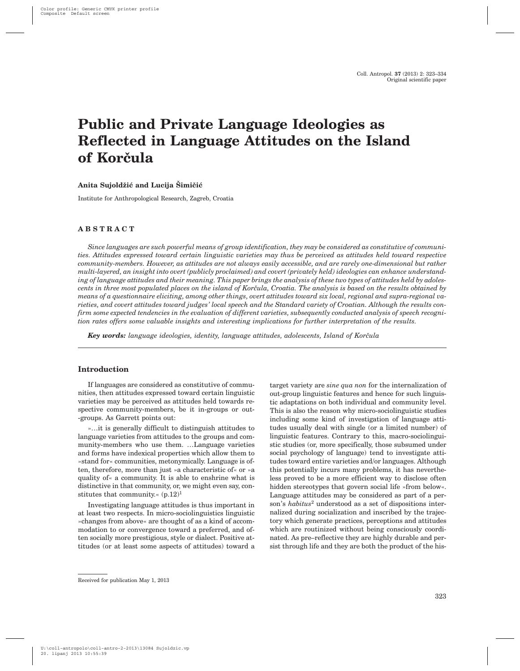# **Public and Private Language Ideologies as Reflected in Language Attitudes on the Island** of Korčula

## Anita Sujoldžić and Lucija Šimičić

Institute for Anthropological Research, Zagreb, Croatia

# **ABSTRACT**

*Since languages are such powerful means of group identification, they may be considered as constitutive of communities. Attitudes expressed toward certain linguistic varieties may thus be perceived as attitudes held toward respective community-members. However, as attitudes are not always easily accessible, and are rarely one-dimensional but rather multi-layered, an insight into overt (publicly proclaimed) and covert (privately held) ideologies can enhance understanding of language attitudes and their meaning. This paper brings the analysis of these two types of attitudes held by adolescents in three most populated places on the island of Korčula, Croatia. The analysis is based on the results obtained by means of a questionnaire eliciting, among other things, overt attitudes toward six local, regional and supra-regional varieties, and covert attitudes toward judges' local speech and the Standard variety of Croatian. Although the results confirm some expected tendencies in the evaluation of different varieties, subsequently conducted analysis of speech recognition rates offers some valuable insights and interesting implications for further interpretation of the results.*

**Key words:** language ideologies, identity, language attitudes, adolescents, Island of Korčula

### **Introduction**

If languages are considered as constitutive of communities, then attitudes expressed toward certain linguistic varieties may be perceived as attitudes held towards respective community-members, be it in-groups or out- -groups. As Garrett points out:

»…it is generally difficult to distinguish attitudes to language varieties from attitudes to the groups and community-members who use them. …Language varieties and forms have indexical properties which allow them to »stand for« communities, metonymically. Language is often, therefore, more than just »a characteristic of« or »a quality of« a community. It is able to enshrine what is distinctive in that community, or, we might even say, constitutes that community.«  $(p.12)^1$ 

Investigating language attitudes is thus important in at least two respects. In micro-sociolinguistics linguistic »changes from above« are thought of as a kind of accommodation to or convergence toward a preferred, and often socially more prestigious, style or dialect. Positive attitudes (or at least some aspects of attitudes) toward a target variety are *sine qua non* for the internalization of out-group linguistic features and hence for such linguistic adaptations on both individual and community level. This is also the reason why micro-sociolinguistic studies including some kind of investigation of language attitudes usually deal with single (or a limited number) of linguistic features. Contrary to this, macro-sociolinguistic studies (or, more specifically, those subsumed under social psychology of language) tend to investigate attitudes toward entire varieties and/or languages. Although this potentially incurs many problems, it has nevertheless proved to be a more efficient way to disclose often hidden stereotypes that govern social life »from below«. Language attitudes may be considered as part of a person's *habitus*<sup>2</sup> understood as a set of dispositions internalized during socialization and inscribed by the trajectory which generate practices, perceptions and attitudes which are routinized without being consciously coordinated. As pre–reflective they are highly durable and persist through life and they are both the product of the his-

Received for publication May 1, 2013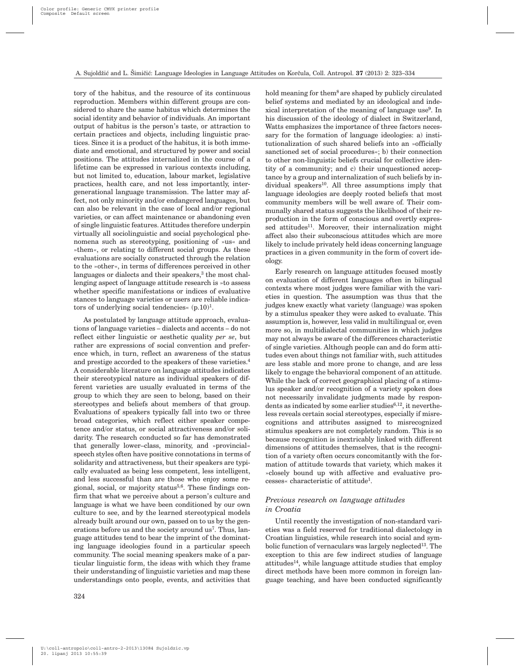tory of the habitus, and the resource of its continuous reproduction. Members within different groups are considered to share the same habitus which determines the social identity and behavior of individuals. An important output of habitus is the person's taste, or attraction to certain practices and objects, including linguistic practices. Since it is a product of the habitus, it is both immediate and emotional, and structured by power and social positions. The attitudes internalized in the course of a lifetime can be expressed in various contexts including, but not limited to, education, labour market, legislative practices, health care, and not less importantly, intergenerational language transmission. The latter may affect, not only minority and/or endangered languages, but can also be relevant in the case of local and/or regional varieties, or can affect maintenance or abandoning even of single linguistic features. Attitudes therefore underpin virtually all sociolinguistic and social psychological phenomena such as stereotyping, positioning of »us« and »them«, or relating to different social groups. As these evaluations are socially constructed through the relation to the »other«, in terms of differences perceived in other languages or dialects and their speakers,<sup>3</sup> the most challenging aspect of language attitude research is »to assess whether specific manifestations or indices of evaluative stances to language varieties or users are reliable indicators of underlying social tendencies«  $(p.10)^1$ .

As postulated by language attitude approach, evaluations of language varieties – dialects and accents – do not reflect either linguistic or aesthetic quality *per se*, but rather are expressions of social convention and preference which, in turn, reflect an awareness of the status and prestige accorded to the speakers of these varieties.4 A considerable literature on language attitudes indicates their stereotypical nature as individual speakers of different varieties are usually evaluated in terms of the group to which they are seen to belong, based on their stereotypes and beliefs about members of that group. Evaluations of speakers typically fall into two or three broad categories, which reflect either speaker competence and/or status, or social attractiveness and/or solidarity. The research conducted so far has demonstrated that generally lower–class, minority, and »provincial« speech styles often have positive connotations in terms of solidarity and attractiveness, but their speakers are typically evaluated as being less competent, less intelligent, and less successful than are those who enjoy some regional, social, or majority status<sup>5,6</sup>. These findings confirm that what we perceive about a person's culture and language is what we have been conditioned by our own culture to see, and by the learned stereotypical models already built around our own, passed on to us by the generations before us and the society around us<sup>7</sup>. Thus, language attitudes tend to bear the imprint of the dominating language ideologies found in a particular speech community. The social meaning speakers make of a particular linguistic form, the ideas with which they frame their understanding of linguistic varieties and map these understandings onto people, events, and activities that

hold meaning for them<sup>8</sup> are shaped by publicly circulated belief systems and mediated by an ideological and indexical interpretation of the meaning of language use<sup>9</sup>. In his discussion of the ideology of dialect in Switzerland, Watts emphasizes the importance of three factors necessary for the formation of language ideologies: a) institutionalization of such shared beliefs into an »officially sanctioned set of social procedures«; b) their connection to other non-linguistic beliefs crucial for collective identity of a community; and c) their unquestioned acceptance by a group and internalization of such beliefs by individual speakers<sup>10</sup>. All three assumptions imply that language ideologies are deeply rooted beliefs that most community members will be well aware of. Their communally shared status suggests the likelihood of their reproduction in the form of conscious and overtly expressed attitudes<sup>11</sup>. Moreover, their internalization might affect also their subconscious attitudes which are more likely to include privately held ideas concerning language practices in a given community in the form of covert ideology.

Early research on language attitudes focused mostly on evaluation of different languages often in bilingual contexts where most judges were familiar with the varieties in question. The assumption was thus that the judges knew exactly what variety (language) was spoken by a stimulus speaker they were asked to evaluate. This assumption is, however, less valid in multilingual or, even more so, in multidialectal communities in which judges may not always be aware of the differences characteristic of single varieties. Although people can and do form attitudes even about things not familiar with, such attitudes are less stable and more prone to change, and are less likely to engage the behavioral component of an attitude. While the lack of correct geographical placing of a stimulus speaker and/or recognition of a variety spoken does not necessarily invalidate judgments made by respondents as indicated by some earlier studies<sup>6,12</sup>, it nevertheless reveals certain social stereotypes, especially if misrecognitions and attributes assigned to misrecognized stimulus speakers are not completely random. This is so because recognition is inextricably linked with different dimensions of attitudes themselves, that is the recognition of a variety often occurs concomitantly with the formation of attitude towards that variety, which makes it »closely bound up with affective and evaluative processes« characteristic of attitude1.

# *Previous research on language attitudes in Croatia*

Until recently the investigation of non-standard varieties was a field reserved for traditional dialectology in Croatian linguistics, while research into social and symbolic function of vernaculars was largely neglected<sup>13</sup>. The exception to this are few indirect studies of language attitudes14, while language attitude studies that employ direct methods have been more common in foreign language teaching, and have been conducted significantly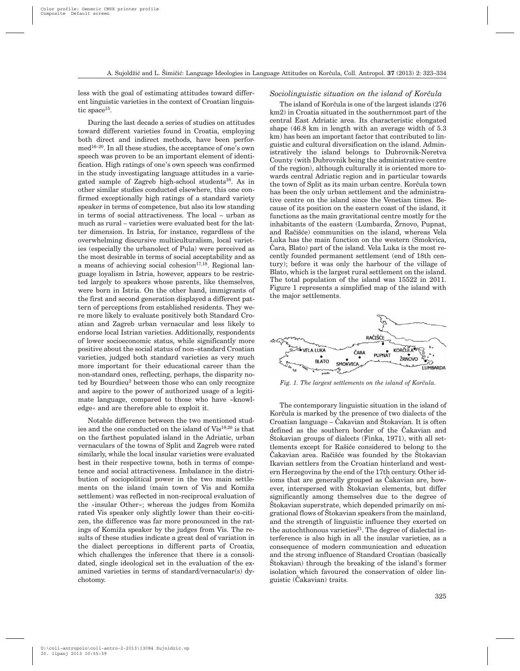less with the goal of estimating attitudes toward different linguistic varieties in the context of Croatian linguistic space<sup>15</sup>.

During the last decade a series of studies on attitudes toward different varieties found in Croatia, employing both direct and indirect methods, have been performed16–20. In all these studies, the acceptance of one's own speech was proven to be an important element of identification. High ratings of one's own speech was confirmed in the study investigating language attitudes in a variegated sample of Zagreb high-school students<sup>16</sup>. As in other similar studies conducted elsewhere, this one confirmed exceptionally high ratings of a standard variety speaker in terms of competence, but also its low standing in terms of social attractiveness. The local – urban as much as rural – varieties were evaluated best for the latter dimension. In Istria, for instance, regardless of the overwhelming discursive multiculturalism, local varieties (especially the urbanolect of Pula) were perceived as the most desirable in terms of social acceptability and as a means of achieving social cohesion $17,18$ . Regional language loyalism in Istria, however, appears to be restricted largely to speakers whose parents, like themselves, were born in Istria. On the other hand, immigrants of the first and second generation displayed a different pattern of perceptions from established residents. They were more likely to evaluate positively both Standard Croatian and Zagreb urban vernacular and less likely to endorse local Istrian varieties. Additionally, respondents of lower socioeconomic status, while significantly more positive about the social status of non–standard Croatian varieties, judged both standard varieties as very much more important for their educational career than the non-standard ones, reflecting, perhaps, the disparity noted by Bourdieu<sup>2</sup> between those who can only recognize and aspire to the power of authorized usage of a legitimate language, compared to those who have »knowledge« and are therefore able to exploit it.

Notable difference between the two mentioned studies and the one conducted on the island of  $\mathrm{Vis}^{19,20}$  is that on the farthest populated island in the Adriatic, urban vernaculars of the towns of Split and Zagreb were rated similarly, while the local insular varieties were evaluated best in their respective towns, both in terms of competence and social attractiveness. Imbalance in the distribution of sociopolitical power in the two main settlements on the island (main town of Vis and Komiža settlement) was reflected in non-reciprocal evaluation of the »insular Other«; whereas the judges from Komiža rated Vis speaker only slightly lower than their co-citizen, the difference was far more pronounced in the ratings of Komiža speaker by the judges from Vis. The results of these studies indicate a great deal of variation in the dialect perceptions in different parts of Croatia, which challenges the inference that there is a consolidated, single ideological set in the evaluation of the examined varieties in terms of standard/vernacular(s) dychotomy.

#### *Sociolinguistic situation on the island of Korčula*

The island of Korčula is one of the largest islands (276) km2) in Croatia situated in the southernmost part of the central East Adriatic area. Its characteristic elongated shape (46.8 km in length with an average width of 5.3 km) has been an important factor that contributed to linguistic and cultural diversification on the island. Administratively the island belongs to Dubrovnik-Neretva County (with Dubrovnik being the administrative centre of the region), although culturally it is oriented more towards central Adriatic region and in particular towards the town of Split as its main urban centre. Korčula town has been the only urban settlement and the administrative centre on the island since the Venetian times. Because of its position on the eastern coast of the island, it functions as the main gravitational centre mostly for the inhabitants of the eastern  $(Lumbarda, Žrnovo, Pupnat,$ and Račišće) communities on the island, whereas Vela Luka has the main function on the western (Smokvica, Cara, Blato) part of the island. Vela Luka is the most recently founded permanent settlement (end of 18th century); before it was only the harbour of the village of Blato, which is the largest rural settlement on the island. The total population of the island was 15522 in 2011. Figure 1 represents a simplified map of the island with the major settlements.



*Fig. 1. The largest settlements on the island of Korčula.* 

The contemporary linguistic situation in the island of Korčula is marked by the presence of two dialects of the Croatian language –  $\text{Čakavian}$  and  $\text{Štokavian}$ . It is often defined as the southern border of the Cakavian and Stokavian groups of dialects (Finka, 1971), with all settlements except for Rašiće considered to belong to the Čakavian area. Račišće was founded by the Štokavian Ikavian settlers from the Croatian hinterland and western Herzegovina by the end of the 17th century. Other idioms that are generally grouped as Cakavian are, however, interspersed with Stokavian elements, but differ significantly among themselves due to the degree of Stokavian superstrate, which depended primarily on migrational flows of Štokavian speakers from the mainland, and the strength of linguistic influence they exerted on the autochthonous varieties $21$ . The degree of dialectal interference is also high in all the insular varieties, as a consequence of modern communication and education and the strong influence of Standard Croatian (basically Stokavian) through the breaking of the island's former isolation which favoured the conservation of older linguistic (^akavian) traits.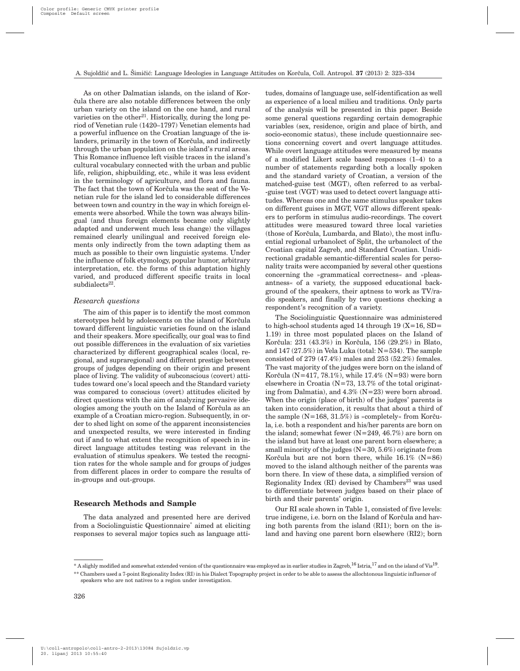As on other Dalmatian islands, on the island of Kor čula there are also notable differences between the only urban variety on the island on the one hand, and rural varieties on the other<sup>21</sup>. Historically, during the long period of Venetian rule (1420–1797) Venetian elements had a powerful influence on the Croatian language of the islanders, primarily in the town of Korčula, and indirectly through the urban population on the island's rural areas. This Romance influence left visible traces in the island's cultural vocabulary connected with the urban and public life, religion, shipbuilding, etc., while it was less evident in the terminology of agriculture, and flora and fauna. The fact that the town of Korčula was the seat of the Venetian rule for the island led to considerable differences between town and country in the way in which foreign elements were absorbed. While the town was always bilingual (and thus foreign elements became only slightly adapted and underwent much less change) the villages remained clearly unilingual and received foreign elements only indirectly from the town adapting them as much as possible to their own linguistic systems. Under the influence of folk etymology, popular humor, arbitrary interpretation, etc. the forms of this adaptation highly varied, and produced different specific traits in local  $subdialects<sup>22</sup>$ .

#### *Research questions*

The aim of this paper is to identify the most common stereotypes held by adolescents on the island of Korčula toward different linguistic varieties found on the island and their speakers. More specifically, our goal was to find out possible differences in the evaluation of six varieties characterized by different geographical scales (local, regional, and supraregional) and different prestige between groups of judges depending on their origin and present place of living. The validity of subconscious (covert) attitudes toward one's local speech and the Standard variety was compared to conscious (overt) attitudes elicited by direct questions with the aim of analyzing pervasive ideologies among the youth on the Island of Korčula as an example of a Croatian micro-region. Subsequently, in order to shed light on some of the apparent inconsistencies and unexpected results, we were interested in finding out if and to what extent the recognition of speech in indirect language attitudes testing was relevant in the evaluation of stimulus speakers. We tested the recognition rates for the whole sample and for groups of judges from different places in order to compare the results of in-groups and out-groups.

### **Research Methods and Sample**

The data analyzed and presented here are derived from a Sociolinguistic Questionnaire\* aimed at eliciting responses to several major topics such as language atti-

tudes, domains of language use, self-identification as well as experience of a local milieu and traditions. Only parts of the analysis will be presented in this paper. Beside some general questions regarding certain demographic variables (sex, residence, origin and place of birth, and socio-economic status), these include questionnaire sections concerning covert and overt language attitudes. While overt language attitudes were measured by means of a modified Likert scale based responses (1–4) to a number of statements regarding both a locally spoken and the standard variety of Croatian, a version of the matched-guise test (MGT), often referred to as verbal- -guise test (VGT) was used to detect covert language attitudes. Whereas one and the same stimulus speaker takes on different guises in MGT, VGT allows different speakers to perform in stimulus audio-recordings. The covert attitudes were measured toward three local varieties (those of Korčula, Lumbarda, and Blato), the most influential regional urbanolect of Split, the urbanolect of the Croatian capital Zagreb, and Standard Croatian. Unidirectional gradable semantic-differential scales for personality traits were accompanied by several other questions concerning the »grammatical correctness« and »pleasantness« of a variety, the supposed educational background of the speakers, their aptness to work as TV/radio speakers, and finally by two questions checking a respondent's recognition of a variety.

The Sociolinguistic Questionnaire was administered to high-school students aged 14 through 19  $(X=16, SD=$ 1.19) in three most populated places on the Island of Korčula: 231 (43.3%) in Korčula, 156 (29.2%) in Blato, and 147 (27.5%) in Vela Luka (total: N=534). The sample consisted of 279 (47.4%) males and 253 (52.2%) females. The vast majority of the judges were born on the island of Korčula (N=417, 78.1%), while  $17.4\%$  (N=93) were born elsewhere in Croatia  $(N=73, 13.7\%$  of the total originating from Dalmatia), and  $4.3\%$  (N=23) were born abroad. When the origin (place of birth) of the judges' parents is taken into consideration, it results that about a third of the sample  $(N=168, 31.5%)$  is »completely« from Korčula, i.e. both a respondent and his/her parents are born on the island; somewhat fewer (N=249, 46.7%) are born on the island but have at least one parent born elsewhere; a small minority of the judges (N=30, 5.6%) originate from Korčula but are not born there, while  $16.1\%$  (N=86) moved to the island although neither of the parents was born there. In view of these data, a simplified version of Regionality Index (RI) devised by Chambers<sup>23</sup> was used to differentiate between judges based on their place of birth and their parents' origin.

Our RI scale shown in Table 1, consisted of five levels: true indigene, i.e. born on the Island of Korčula and having both parents from the island (RI1); born on the island and having one parent born elsewhere (RI2); born

<sup>\*</sup> A slighly modified and somewhat extended version of the questionnaire was employed as in earlier studies in Zagreb,  $^{16}$  Istria,  $^{17}$  and on the island of Vis<sup>19</sup>. \*\* Chambers used a 7-point Regionality Index (RI) in his Dialect Topography project in order to be able to assess the allochtonous linguistic influence of

speakers who are not natives to a region under investigation.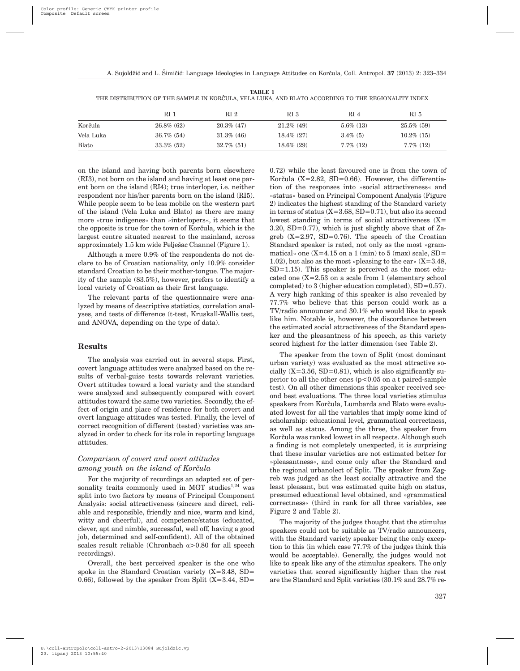|           | RI 1          | RI <sub>2</sub> | RI 3          | RI 4         | RI 5          |
|-----------|---------------|-----------------|---------------|--------------|---------------|
| Korčula   | $26.8\%$ (62) | $20.3\%$ (47)   | $21.2\%$ (49) | $5.6\%$ (13) | $25.5\%$ (59) |
| Vela Luka | $36.7\%$ (54) | $31.3\%$ (46)   | $18.4\%$ (27) | $3.4\%$ (5)  | $10.2\%$ (15) |
| Blato     | $33.3\%$ (52) | $32.7\%$ (51)   | $18.6\%$ (29) | $7.7\%$ (12) | $7.7\%$ (12)  |

**TABLE 1** THE DISTRIBUTION OF THE SAMPLE IN KORČULA, VELA LUKA, AND BLATO ACCORDING TO THE REGIONALITY INDEX

on the island and having both parents born elsewhere (RI3), not born on the island and having at least one parent born on the island (RI4); true interloper, i.e. neither respondent nor his/her parents born on the island (RI5). While people seem to be less mobile on the western part of the island (Vela Luka and Blato) as there are many more »true indigenes« than »interlopers«, it seems that the opposite is true for the town of Korčula, which is the largest centre situated nearest to the mainland, across approximately 1.5 km wide Pelješac Channel (Figure 1).

Although a mere 0.9% of the respondents do not declare to be of Croatian nationality, only 10.9% consider standard Croatian to be their mother-tongue. The majority of the sample (83.5%), however, prefers to identify a local variety of Croatian as their first language.

The relevant parts of the questionnaire were analyzed by means of descriptive statistics, correlation analyses, and tests of difference (t-test, Kruskall-Wallis test, and ANOVA, depending on the type of data).

## **Results**

The analysis was carried out in several steps. First, covert language attitudes were analyzed based on the results of verbal-guise tests towards relevant varieties. Overt attitudes toward a local variety and the standard were analyzed and subsequently compared with covert attitudes toward the same two varieties. Secondly, the effect of origin and place of residence for both covert and overt language attitudes was tested. Finally, the level of correct recognition of different (tested) varieties was analyzed in order to check for its role in reporting language attitudes.

## *Comparison of covert and overt attitudes among youth on the island of Korčula*

For the majority of recordings an adapted set of personality traits commonly used in MGT studies $1,24$  was split into two factors by means of Principal Component Analysis: social attractiveness (sincere and direct, reliable and responsible, friendly and nice, warm and kind, witty and cheerful), and competence/status (educated, clever, apt and nimble, successful, well off, having a good job, determined and self-confident). All of the obtained scales result reliable (Chronbach  $\alpha$ >0.80 for all speech recordings).

Overall, the best perceived speaker is the one who spoke in the Standard Croatian variety  $(X=3.48, SD=$ 0.66), followed by the speaker from Split  $(X=3.44, SD=$ 

0.72) while the least favoured one is from the town of Korčula (X=2.82, SD=0.66). However, the differentiation of the responses into »social attractiveness« and »status« based on Principal Component Analysis (Figure 2) indicates the highest standing of the Standard variety in terms of status  $(X=3.68, SD=0.71)$ , but also its second lowest standing in terms of social attractiveness  $(X=$  $3.20$ , SD=0.77), which is just slightly above that of Zagreb  $(X=2.97, SD=0.76)$ . The speech of the Croatian Standard speaker is rated, not only as the most »grammatical« one  $(X=4.15$  on a 1 (min) to 5 (max) scale, SD= 1.02), but also as the most »pleasing to the ear«  $(X=3.48,$  $SD=1.15$ ). This speaker is perceived as the most educated one (X=2.53 on a scale from 1 (elementary school completed) to 3 (higher education completed), SD=0.57). A very high ranking of this speaker is also revealed by 77.7% who believe that this person could work as a TV/radio announcer and 30.1% who would like to speak like him. Notable is, however, the discordance between the estimated social attractiveness of the Standard speaker and the pleasantness of his speech, as this variety scored highest for the latter dimension (see Table 2).

The speaker from the town of Split (most dominant urban variety) was evaluated as the most attractive socially  $(X=3.56, SD=0.81)$ , which is also significantly superior to all the other ones (p<0.05 on a t paired-sample test). On all other dimensions this speaker received second best evaluations. The three local varieties stimulus speakers from Korčula, Lumbarda and Blato were evaluated lowest for all the variables that imply some kind of scholarship: educational level, grammatical correctness, as well as status. Among the three, the speaker from Korčula was ranked lowest in all respects. Although such a finding is not completely unexpected, it is surprising that these insular varieties are not estimated better for »pleasantness«, and come only after the Standard and the regional urbanolect of Split. The speaker from Zagreb was judged as the least socially attractive and the least pleasant, but was estimated quite high on status, presumed educational level obtained, and »grammatical correctness« (third in rank for all three variables, see Figure 2 and Table 2).

The majority of the judges thought that the stimulus speakers could not be suitable as TV/radio announcers, with the Standard variety speaker being the only exception to this (in which case 77.7% of the judges think this would be acceptable). Generally, the judges would not like to speak like any of the stimulus speakers. The only varieties that scored significantly higher than the rest are the Standard and Split varieties (30.1% and 28.7% re-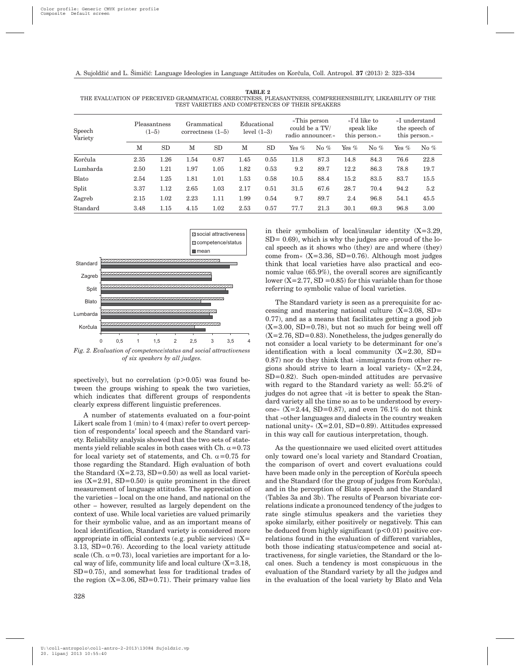| Speech<br>Variety | Pleasantness<br>$(1-5)$ |      | Grammatical<br>correctness $(1-5)$ |      | Educational<br>level $(1-3)$ |      | »This person<br>could be a TV/<br>radio announcer.« |        | »I'd like to<br>speak like<br>this person. |        | »I understand<br>the speech of<br>this person. |        |
|-------------------|-------------------------|------|------------------------------------|------|------------------------------|------|-----------------------------------------------------|--------|--------------------------------------------|--------|------------------------------------------------|--------|
|                   | M                       | SD   | М                                  | SD   | М                            | SD   | Yes $%$                                             | No $%$ | Yes $%$                                    | No $%$ | Yes $%$                                        | No $%$ |
| Korčula           | 2.35                    | 1.26 | 1.54                               | 0.87 | 1.45                         | 0.55 | 11.8                                                | 87.3   | 14.8                                       | 84.3   | 76.6                                           | 22.8   |
| Lumbarda          | 2.50                    | 1.21 | 1.97                               | 1.05 | 1.82                         | 0.53 | 9.2                                                 | 89.7   | 12.2                                       | 86.3   | 78.8                                           | 19.7   |
| Blato             | 2.54                    | 1.25 | 1.81                               | 1.01 | 1.53                         | 0.58 | 10.5                                                | 88.4   | 15.2                                       | 83.5   | 83.7                                           | 15.5   |
| Split             | 3.37                    | 1.12 | 2.65                               | 1.03 | 2.17                         | 0.51 | 31.5                                                | 67.6   | 28.7                                       | 70.4   | 94.2                                           | 5.2    |
| Zagreb            | 2.15                    | 1.02 | 2.23                               | 1.11 | 1.99                         | 0.54 | 9.7                                                 | 89.7   | 2.4                                        | 96.8   | 54.1                                           | 45.5   |
| Standard          | 3.48                    | 1.15 | 4.15                               | 1.02 | 2.53                         | 0.57 | 77.7                                                | 21.3   | 30.1                                       | 69.3   | 96.8                                           | 3.00   |





*Fig. 2. Evaluation of competence/status and social attractiveness of six speakers by all judges.*

spectively), but no correlation  $(p>0.05)$  was found between the groups wishing to speak the two varieties, which indicates that different groups of respondents clearly express different linguistic preferences.

A number of statements evaluated on a four-point Likert scale from 1 (min) to 4 (max) refer to overt perception of respondents' local speech and the Standard variety. Reliability analysis showed that the two sets of statements yield reliable scales in both cases with Ch.  $\alpha$  = 0.73 for local variety set of statements, and Ch.  $\alpha$ =0.75 for those regarding the Standard. High evaluation of both the Standard  $(X=2.73, SD=0.50)$  as well as local varieties  $(X=2.91, SD=0.50)$  is quite prominent in the direct measurement of language attitudes. The appreciation of the varieties – local on the one hand, and national on the other – however, resulted as largely dependent on the context of use. While local varieties are valued primarily for their symbolic value, and as an important means of local identification, Standard variety is considered more appropriate in official contexts (e.g. public services)  $(X=$ 3.13, SD=0.76). According to the local variety attitude scale (Ch.  $\alpha$ =0.73), local varieties are important for a local way of life, community life and local culture  $(X=3.18,$ SD=0.75), and somewhat less for traditional trades of the region  $(X=3.06, SD=0.71)$ . Their primary value lies in their symbolism of local/insular identity (X=3.29,  $SD = 0.69$ , which is why the judges are »proud of the local speech as it shows who (they) are and where (they) come from  $(X=3.36, SD=0.76)$ . Although most judges think that local varieties have also practical and economic value (65.9%), the overall scores are significantly lower  $(X=2.77, SD = 0.85)$  for this variable than for those referring to symbolic value of local varieties.

The Standard variety is seen as a prerequisite for accessing and mastering national culture  $(X=3.08, SD=$ 0.77), and as a means that facilitates getting a good job  $(X=3.00, SD=0.78)$ , but not so much for being well off  $(X=2.76, SD=0.83)$ . Nonetheless, the judges generally do not consider a local variety to be determinant for one's identification with a local community  $(X=2.30, SD=$ 0.87) nor do they think that »immigrants from other regions should strive to learn a local variety« (X=2.24, SD=0.82). Such open-minded attitudes are pervasive with regard to the Standard variety as well: 55.2% of judges do not agree that »it is better to speak the Standard variety all the time so as to be understood by everyone«  $(X=2.44, SD=0.87)$ , and even 76.1% do not think that »other languages and dialects in the country weaken national unity«  $(X=2.01, SD=0.89)$ . Attitudes expressed in this way call for cautious interpretation, though.

As the questionnaire we used elicited overt attitudes only toward one's local variety and Standard Croatian, the comparison of overt and covert evaluations could have been made only in the perception of Korčula speech and the Standard (for the group of judges from Korčula). and in the perception of Blato speech and the Standard (Tables 3a and 3b). The results of Pearson bivariate correlations indicate a pronounced tendency of the judges to rate single stimulus speakers and the varieties they spoke similarly, either positively or negatively. This can be deduced from highly significant  $(p<0.01)$  positive correlations found in the evaluation of different variables, both those indicating status/competence and social attractiveness, for single varieties, the Standard or the local ones. Such a tendency is most conspicuous in the evaluation of the Standard variety by all the judges and in the evaluation of the local variety by Blato and Vela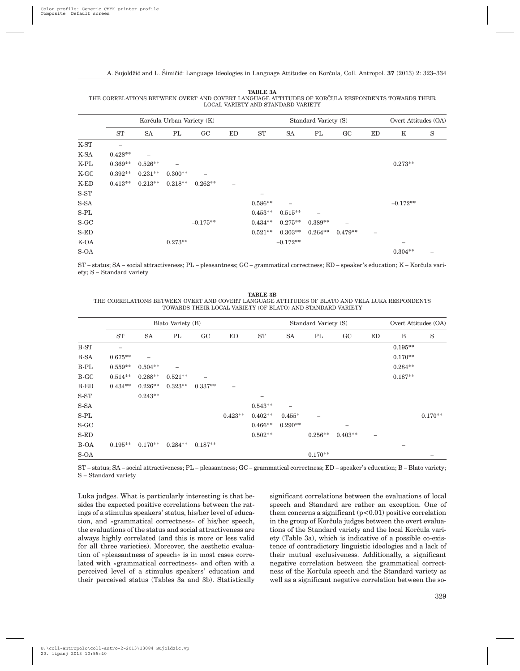|         |           |                          | Korčula Urban Variety (K) |            |    |           | Standard Variety (S)     | Overt Attitudes (OA) |                 |                          |            |   |
|---------|-----------|--------------------------|---------------------------|------------|----|-----------|--------------------------|----------------------|-----------------|--------------------------|------------|---|
|         | ST        | <b>SA</b>                | PL                        | GC         | ED | ST        | <b>SA</b>                | PL                   | GC              | ED                       | Κ          | S |
| K-ST    |           |                          |                           |            |    |           |                          |                      |                 |                          |            |   |
| K-SA    | $0.428**$ | $\overline{\phantom{0}}$ |                           |            |    |           |                          |                      |                 |                          |            |   |
| K-PL    | $0.369**$ | $0.526**$                |                           |            |    |           |                          |                      |                 |                          | $0.273**$  |   |
| $K$ -GC | $0.392**$ | $0.231**$                | $0.300**$                 |            |    |           |                          |                      |                 |                          |            |   |
| K-ED    | $0.413**$ | $0.213**$                | $0.218**$                 | $0.262**$  | -  |           |                          |                      |                 |                          |            |   |
| $S-ST$  |           |                          |                           |            |    |           |                          |                      |                 |                          |            |   |
| S-SA    |           |                          |                           |            |    | $0.586**$ | $\overline{\phantom{0}}$ |                      |                 |                          | $-0.172**$ |   |
| $S-PL$  |           |                          |                           |            |    | $0.453**$ | $0.515**$                |                      |                 |                          |            |   |
| $S-GC$  |           |                          |                           | $-0.175**$ |    | $0.434**$ | $0.275**$                | $0.389**$            | $\qquad \qquad$ |                          |            |   |
| $S$ -ED |           |                          |                           |            |    | $0.521**$ | $0.303**$                | $0.264**$            | $0.479**$       | $\overline{\phantom{m}}$ |            |   |
| K-OA    |           |                          | $0.273**$                 |            |    |           | $-0.172**$               |                      |                 |                          |            |   |
| S-OA    |           |                          |                           |            |    |           |                          |                      |                 |                          | $0.304**$  |   |

**TABLE 3A** THE CORRELATIONS BETWEEN OVERT AND COVERT LANGUAGE ATTITUDES OF KORČULA RESPONDENTS TOWARDS THEIR LOCAL VARIETY AND STANDARD VARIETY

ST – status; SA – social attractiveness; PL – pleasantness; GC – grammatical correctness; ED – speaker's education; K – Korčula variety; S – Standard variety

**TABLE 3B** THE CORRELATIONS BETWEEN OVERT AND COVERT LANGUAGE ATTITUDES OF BLATO AND VELA LUKA RESPONDENTS TOWARDS THEIR LOCAL VARIETY (OF BLATO) AND STANDARD VARIETY

|             |           |                          | Blato Variety (B) |           |           |           | Standard Variety (S) | Overt Attitudes (OA) |           |                          |           |           |
|-------------|-----------|--------------------------|-------------------|-----------|-----------|-----------|----------------------|----------------------|-----------|--------------------------|-----------|-----------|
|             | <b>ST</b> | <b>SA</b>                | PL                | GC        | ED        | <b>ST</b> | <b>SA</b>            | PL                   | GC        | ED                       | B         | S         |
| B-ST        |           |                          |                   |           |           |           |                      |                      |           |                          | $0.195**$ |           |
| <b>B-SA</b> | $0.675**$ | $\overline{\phantom{0}}$ |                   |           |           |           |                      |                      |           |                          | $0.170**$ |           |
| $B-PL$      | $0.559**$ | $0.504**$                |                   |           |           |           |                      |                      |           |                          | $0.284**$ |           |
| B-GC        | $0.514**$ | $0.268**$                | $0.521**$         | -         |           |           |                      |                      |           |                          | $0.187**$ |           |
| B-ED        | $0.434**$ | $0.226**$                | $0.323**$         | $0.337**$ |           |           |                      |                      |           |                          |           |           |
| S-ST        |           | $0.243**$                |                   |           |           |           |                      |                      |           |                          |           |           |
| S-SA        |           |                          |                   |           |           | $0.543**$ |                      |                      |           |                          |           |           |
| $S-PL$      |           |                          |                   |           | $0.423**$ | $0.402**$ | $0.455*$             |                      |           |                          |           | $0.170**$ |
| $S-GC$      |           |                          |                   |           |           | $0.466**$ | $0.290**$            |                      |           |                          |           |           |
| $S$ -ED     |           |                          |                   |           |           | $0.502**$ |                      | $0.256**$            | $0.403**$ | $\overline{\phantom{0}}$ |           |           |
| B-OA        | $0.195**$ | $0.170**$                | $0.284**$         | $0.187**$ |           |           |                      |                      |           |                          |           |           |
| S-OA        |           |                          |                   |           |           |           |                      | $0.170**$            |           |                          |           |           |

ST – status; SA – social attractiveness; PL – pleasantness; GC – grammatical correctness; ED – speaker's education; B – Blato variety; S – Standard variety

Luka judges. What is particularly interesting is that besides the expected positive correlations between the ratings of a stimulus speakers' status, his/her level of education, and »grammatical correctness« of his/her speech, the evaluations of the status and social attractiveness are always highly correlated (and this is more or less valid for all three varieties). Moreover, the aesthetic evaluation of »pleasantness of speech« is in most cases correlated with »grammatical correctness« and often with a perceived level of a stimulus speakers' education and their perceived status (Tables 3a and 3b). Statistically significant correlations between the evaluations of local speech and Standard are rather an exception. One of them concerns a significant  $(p<0.01)$  positive correlation in the group of Korčula judges between the overt evaluations of the Standard variety and the local Korčula variety (Table 3a), which is indicative of a possible co-existence of contradictory linguistic ideologies and a lack of their mutual exclusiveness. Additionally, a significant negative correlation between the grammatical correctness of the Korčula speech and the Standard variety as well as a significant negative correlation between the so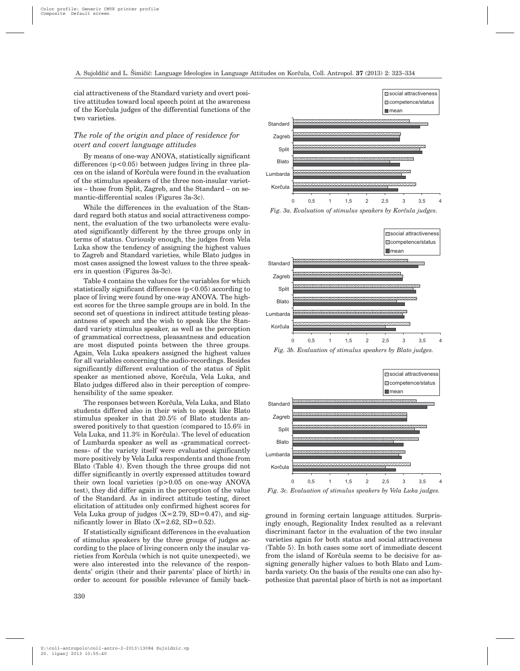cial attractiveness of the Standard variety and overt positive attitudes toward local speech point at the awareness of the Korčula judges of the differential functions of the two varieties.

# *The role of the origin and place of residence for overt and covert language attitudes*

By means of one-way ANOVA, statistically significant differences  $(p<0.05)$  between judges living in three places on the island of Korčula were found in the evaluation of the stimulus speakers of the three non-insular varieties – those from Split, Zagreb, and the Standard – on semantic-differential scales (Figures 3a-3c).

While the differences in the evaluation of the Standard regard both status and social attractiveness component, the evaluation of the two urbanolects were evaluated significantly different by the three groups only in terms of status. Curiously enough, the judges from Vela Luka show the tendency of assigning the highest values to Zagreb and Standard varieties, while Blato judges in most cases assigned the lowest values to the three speakers in question (Figures 3a-3c).

Table 4 contains the values for the variables for which statistically significant differences  $(p<0.05)$  according to place of living were found by one-way ANOVA. The highest scores for the three sample groups are in bold. In the second set of questions in indirect attitude testing pleasantness of speech and the wish to speak like the Standard variety stimulus speaker, as well as the perception of grammatical correctness, pleasantness and education are most disputed points between the three groups. Again, Vela Luka speakers assigned the highest values for all variables concerning the audio-recordings. Besides significantly different evaluation of the status of Split speaker as mentioned above, Korčula, Vela Luka, and Blato judges differed also in their perception of comprehensibility of the same speaker.

The responses between Korčula, Vela Luka, and Blato students differed also in their wish to speak like Blato stimulus speaker in that 20.5% of Blato students answered positively to that question (compared to 15.6% in Vela Luka, and 11.3% in Korčula). The level of education of Lumbarda speaker as well as »grammatical correctness« of the variety itself were evaluated significantly more positively by Vela Luka respondents and those from Blato (Table 4). Even though the three groups did not differ significantly in overtly expressed attitudes toward their own local varieties (p>0.05 on one-way ANOVA test), they did differ again in the perception of the value of the Standard. As in indirect attitude testing, direct elicitation of attitudes only confirmed highest scores for Vela Luka group of judges  $(X=2.79, SD=0.47)$ , and significantly lower in Blato  $(X=2.62, SD=0.52)$ .

If statistically significant differences in the evaluation of stimulus speakers by the three groups of judges according to the place of living concern only the insular varieties from Korčula (which is not quite unexpected), we were also interested into the relevance of the respondents' origin (their and their parents' place of birth) in order to account for possible relevance of family back-



*Fig. 3a. Evaluation of stimulus speakers by Korčula judges.* 



*Fig. 3b. Evaluation of stimulus speakers by Blato judges.*



*Fig. 3c. Evaluation of stimulus speakers by Vela Luka judges.*

ground in forming certain language attitudes. Surprisingly enough, Regionality Index resulted as a relevant discriminant factor in the evaluation of the two insular varieties again for both status and social attractiveness (Table 5). In both cases some sort of immediate descent from the island of Korčula seems to be decisive for assigning generally higher values to both Blato and Lumbarda variety. On the basis of the results one can also hypothesize that parental place of birth is not as important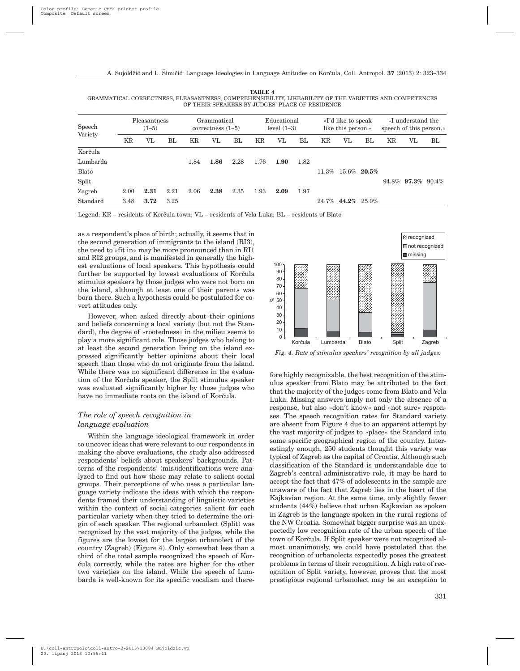**TABLE 4** GRAMMATICAL CORRECTNESS, PLEASANTNESS, COMPREHENSIBILITY, LIKEABILITY OF THE VARIETIES AND COMPETENCES OF THEIR SPEAKERS BY JUDGES' PLACE OF RESIDENCE

| Speech<br>Variety |      | Pleasantness<br>$(1-5)$ |      |      | Grammatical<br>correctness $(1-5)$ |      | Educational<br>level $(1-3)$ |      |      | »I'd like to speak<br>like this person. |    |                | »I understand the<br>speech of this person.« |                          |    |
|-------------------|------|-------------------------|------|------|------------------------------------|------|------------------------------|------|------|-----------------------------------------|----|----------------|----------------------------------------------|--------------------------|----|
|                   | KR   | VL                      | BL   | KR   | VL                                 | BL   | ΚR                           | VL   | BL   | ΚR                                      | VL | BL             | KR                                           | VL                       | BL |
| Korčula           |      |                         |      |      |                                    |      |                              |      |      |                                         |    |                |                                              |                          |    |
| Lumbarda          |      |                         |      | 1.84 | 1.86                               | 2.28 | 1.76                         | 1.90 | 1.82 |                                         |    |                |                                              |                          |    |
| Blato             |      |                         |      |      |                                    |      |                              |      |      | 11.3%                                   |    | $15.6\%$ 20.5% |                                              |                          |    |
| Split             |      |                         |      |      |                                    |      |                              |      |      |                                         |    |                |                                              | $94.8\%$ 97.3\% $90.4\%$ |    |
| Zagreb            | 2.00 | 2.31                    | 2.21 | 2.06 | 2.38                               | 2.35 | 1.93                         | 2.09 | 1.97 |                                         |    |                |                                              |                          |    |
| Standard          | 3.48 | 3.72                    | 3.25 |      |                                    |      |                              |      |      | 24.7%                                   |    | 44.2% 25.0%    |                                              |                          |    |

Legend: KR – residents of Korčula town; VL – residents of Vela Luka; BL – residents of Blato

as a respondent's place of birth; actually, it seems that in the second generation of immigrants to the island (RI3), the need to »fit in« may be more pronounced than in RI1 and RI2 groups, and is manifested in generally the highest evaluations of local speakers. This hypothesis could further be supported by lowest evaluations of Korčula stimulus speakers by those judges who were not born on the island, although at least one of their parents was born there. Such a hypothesis could be postulated for covert attitudes only.

However, when asked directly about their opinions and beliefs concerning a local variety (but not the Standard), the degree of »rootedness« in the milieu seems to play a more significant role. Those judges who belong to at least the second generation living on the island expressed significantly better opinions about their local speech than those who do not originate from the island. While there was no significant difference in the evaluation of the Korčula speaker, the Split stimulus speaker was evaluated significantly higher by those judges who have no immediate roots on the island of Korčula.

## *The role of speech recognition in language evaluation*

Within the language ideological framework in order to uncover ideas that were relevant to our respondents in making the above evaluations, the study also addressed respondents' beliefs about speakers' backgrounds. Patterns of the respondents' (mis)identifications were analyzed to find out how these may relate to salient social groups. Their perceptions of who uses a particular language variety indicate the ideas with which the respondents framed their understanding of linguistic varieties within the context of social categories salient for each particular variety when they tried to determine the origin of each speaker. The regional urbanolect (Split) was recognized by the vast majority of the judges, while the figures are the lowest for the largest urbanolect of the country (Zagreb) (Figure 4). Only somewhat less than a third of the total sample recognized the speech of Kor čula correctly, while the rates are higher for the other two varieties on the island. While the speech of Lumbarda is well-known for its specific vocalism and there-



*Fig. 4. Rate of stimulus speakers' recognition by all judges.*

fore highly recognizable, the best recognition of the stimulus speaker from Blato may be attributed to the fact that the majority of the judges come from Blato and Vela Luka. Missing answers imply not only the absence of a response, but also »don't know« and »not sure« responses. The speech recognition rates for Standard variety are absent from Figure 4 due to an apparent attempt by the vast majority of judges to »place« the Standard into some specific geographical region of the country. Interestingly enough, 250 students thought this variety was typical of Zagreb as the capital of Croatia. Although such classification of the Standard is understandable due to Zagreb's central administrative role, it may be hard to accept the fact that 47% of adolescents in the sample are unaware of the fact that Zagreb lies in the heart of the Kajkavian region. At the same time, only slightly fewer students (44%) believe that urban Kajkavian as spoken in Zagreb is the language spoken in the rural regions of the NW Croatia. Somewhat bigger surprise was an unexpectedly low recognition rate of the urban speech of the town of Korčula. If Split speaker were not recognized almost unanimously, we could have postulated that the recognition of urbanolects expectedly poses the greatest problems in terms of their recognition. A high rate of recognition of Split variety, however, proves that the most prestigious regional urbanolect may be an exception to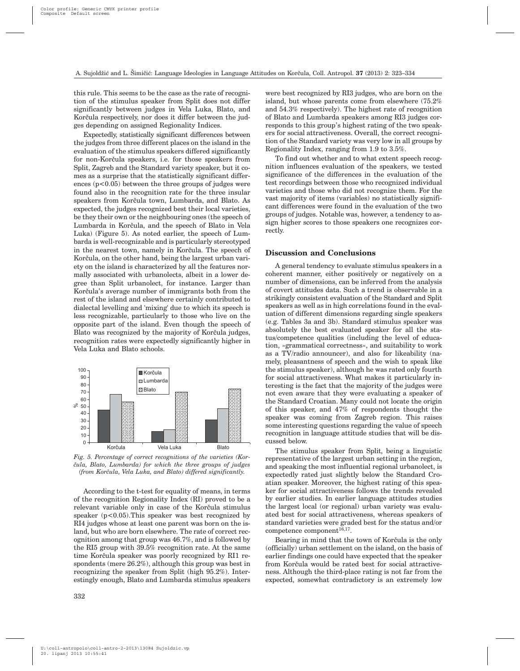this rule. This seems to be the case as the rate of recognition of the stimulus speaker from Split does not differ significantly between judges in Vela Luka, Blato, and Korčula respectively, nor does it differ between the judges depending on assigned Regionality Indices.

Expectedly, statistically significant differences between the judges from three different places on the island in the evaluation of the stimulus speakers differed significantly for non-Korčula speakers, i.e. for those speakers from Split, Zagreb and the Standard variety speaker, but it comes as a surprise that the statistically significant differences  $(p<0.05)$  between the three groups of judges were found also in the recognition rate for the three insular speakers from Korčula town, Lumbarda, and Blato. As expected, the judges recognized best their local varieties, be they their own or the neighbouring ones (the speech of Lumbarda in Korčula, and the speech of Blato in Vela Luka) (Figure 5). As noted earlier, the speech of Lumbarda is well-recognizable and is particularly stereotyped in the nearest town, namely in Korčula. The speech of Korčula, on the other hand, being the largest urban variety on the island is characterized by all the features normally associated with urbanolects, albeit in a lower degree than Split urbanolect, for instance. Larger than Korčula's average number of immigrants both from the rest of the island and elsewhere certainly contributed to dialectal levelling and 'mixing' due to which its speech is less recognizable, particularly to those who live on the opposite part of the island. Even though the speech of Blato was recognized by the majority of Korčula judges, recognition rates were expectedly significantly higher in Vela Luka and Blato schools.



Kor~ula Vela Luka Blato *Fig. 5. Percentage of correct recognitions of the varieties (Kor- ~ula, Blato, Lumbarda) for which the three groups of judges (from Korčula, Vela Luka, and Blato) differed significantly.* 

According to the t-test for equality of means, in terms of the recognition Regionality Index (RI) proved to be a relevant variable only in case of the Korčula stimulus speaker  $(p<0.05)$ . This speaker was best recognized by RI4 judges whose at least one parent was born on the island, but who are born elsewhere. The rate of correct recognition among that group was 46.7%, and is followed by the RI5 group with 39.5% recognition rate. At the same time Korčula speaker was poorly recognized by RI1 respondents (mere 26.2%), although this group was best in recognizing the speaker from Split (high 95.2%). Interestingly enough, Blato and Lumbarda stimulus speakers

were best recognized by RI3 judges, who are born on the island, but whose parents come from elsewhere (75.2% and 54.3% respectively). The highest rate of recognition of Blato and Lumbarda speakers among RI3 judges corresponds to this group's highest rating of the two speakers for social attractiveness. Overall, the correct recognition of the Standard variety was very low in all groups by Regionality Index, ranging from 1.9 to 3.5%.

To find out whether and to what extent speech recognition influences evaluation of the speakers, we tested significance of the differences in the evaluation of the test recordings between those who recognized individual varieties and those who did not recognize them. For the vast majority of items (variables) no statistically significant differences were found in the evaluation of the two groups of judges. Notable was, however, a tendency to assign higher scores to those speakers one recognizes correctly.

### **Discussion and Conclusions**

A general tendency to evaluate stimulus speakers in a coherent manner, either positively or negatively on a number of dimensions, can be inferred from the analysis of covert attitudes data. Such a trend is observable in a strikingly consistent evaluation of the Standard and Split speakers as well as in high correlations found in the evaluation of different dimensions regarding single speakers (e.g. Tables 3a and 3b). Standard stimulus speaker was absolutely the best evaluated speaker for all the status/competence qualities (including the level of education, »grammatical correctness«, and suitability to work as a TV/radio announcer), and also for likeability (namely, pleasantness of speech and the wish to speak like the stimulus speaker), although he was rated only fourth for social attractiveness. What makes it particularly interesting is the fact that the majority of the judges were not even aware that they were evaluating a speaker of the Standard Croatian. Many could not locate the origin of this speaker, and 47% of respondents thought the speaker was coming from Zagreb region. This raises some interesting questions regarding the value of speech recognition in language attitude studies that will be discussed below.

The stimulus speaker from Split*,* being a linguistic representative of the largest urban setting in the region, and speaking the most influential regional urbanolect, is expectedly rated just slightly below the Standard Croatian speaker. Moreover, the highest rating of this speaker for social attractiveness follows the trends revealed by earlier studies. In earlier language attitudes studies the largest local (or regional) urban variety was evaluated best for social attractiveness, whereas speakers of standard varieties were graded best for the status and/or competence component $16,17$ .

Bearing in mind that the town of Korčula is the only (officially) urban settlement on the island, on the basis of earlier findings one could have expected that the speaker from Korčula would be rated best for social attractiveness. Although the third-place rating is not far from the expected, somewhat contradictory is an extremely low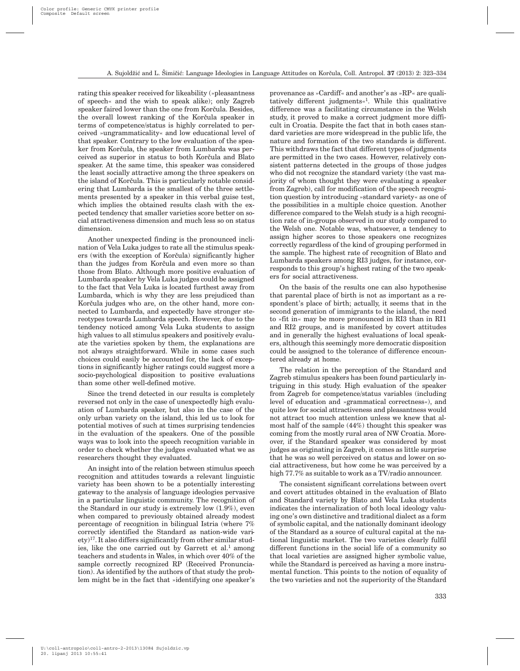rating this speaker received for likeability (»pleasantness of speech« and the wish to speak alike); only Zagreb speaker faired lower than the one from Korčula. Besides, the overall lowest ranking of the Korčula speaker in terms of competence/status is highly correlated to perceived »ungrammaticality« and low educational level of that speaker. Contrary to the low evaluation of the speaker from Korčula, the speaker from Lumbarda was perceived as superior in status to both Korčula and Blato speaker. At the same time, this speaker was considered the least socially attractive among the three speakers on the island of Korčula. This is particularly notable considering that Lumbarda is the smallest of the three settlements presented by a speaker in this verbal guise test, which implies the obtained results clash with the expected tendency that smaller varieties score better on social attractiveness dimension and much less so on status dimension.

Another unexpected finding is the pronounced inclination of Vela Luka judges to rate all the stimulus speakers (with the exception of Korčula) significantly higher than the judges from Korčula and even more so than those from Blato. Although more positive evaluation of Lumbarda speaker by Vela Luka judges could be assigned to the fact that Vela Luka is located furthest away from Lumbarda, which is why they are less prejudiced than Korčula judges who are, on the other hand, more connected to Lumbarda, and expectedly have stronger stereotypes towards Lumbarda speech. However, due to the tendency noticed among Vela Luka students to assign high values to all stimulus speakers and positively evaluate the varieties spoken by them, the explanations are not always straightforward. While in some cases such choices could easily be accounted for, the lack of exceptions in significantly higher ratings could suggest more a socio-psychological disposition to positive evaluations than some other well-defined motive.

Since the trend detected in our results is completely reversed not only in the case of unexpectedly high evaluation of Lumbarda speaker, but also in the case of the only urban variety on the island, this led us to look for potential motives of such at times surprising tendencies in the evaluation of the speakers. One of the possible ways was to look into the speech recognition variable in order to check whether the judges evaluated what we as researchers thought they evaluated.

An insight into of the relation between stimulus speech recognition and attitudes towards a relevant linguistic variety has been shown to be a potentially interesting gateway to the analysis of language ideologies pervasive in a particular linguistic community. The recognition of the Standard in our study is extremely low (1.9%), even when compared to previously obtained already modest percentage of recognition in bilingual Istria (where 7% correctly identified the Standard as nation-wide variety)17. It also differs significantly from other similar studies, like the one carried out by Garrett et  $al.1$  among teachers and students in Wales, in which over 40% of the sample correctly recognized RP (Received Pronunciation). As identified by the authors of that study the problem might be in the fact that »identifying one speaker's provenance as »Cardiff« and another's as »RP« are qualitatively different judgments«1. While this qualitative difference was a facilitating circumstance in the Welsh study, it proved to make a correct judgment more difficult in Croatia. Despite the fact that in both cases standard varieties are more widespread in the public life, the nature and formation of the two standards is different. This withdraws the fact that different types of judgments are permitted in the two cases. However, relatively consistent patterns detected in the groups of those judges who did not recognize the standard variety (the vast majority of whom thought they were evaluating a speaker from Zagreb), call for modification of the speech recognition question by introducing »standard variety« as one of the possibilities in a multiple choice question. Another difference compared to the Welsh study is a high recognition rate of in-groups observed in our study compared to the Welsh one. Notable was, whatsoever, a tendency to assign higher scores to those speakers one recognizes correctly regardless of the kind of grouping performed in the sample. The highest rate of recognition of Blato and Lumbarda speakers among RI3 judges, for instance, corresponds to this group's highest rating of the two speakers for social attractiveness.

On the basis of the results one can also hypothesise that parental place of birth is not as important as a respondent's place of birth; actually, it seems that in the second generation of immigrants to the island, the need to »fit in« may be more pronounced in RI3 than in RI1 and RI2 groups, and is manifested by covert attitudes and in generally the highest evaluations of local speakers, although this seemingly more democratic disposition could be assigned to the tolerance of difference encountered already at home.

The relation in the perception of the Standard and Zagreb stimulus speakers has been found particularly intriguing in this study. High evaluation of the speaker from Zagreb for competence/status variables (including level of education and »grammatical correctness«), and quite low for social attractiveness and pleasantness would not attract too much attention unless we knew that almost half of the sample (44%) thought this speaker was coming from the mostly rural area of NW Croatia. Moreover, if the Standard speaker was considered by most judges as originating in Zagreb, it comes as little surprise that he was so well perceived on status and lower on social attractiveness, but how come he was perceived by a high 77.7% as suitable to work as a TV/radio announcer.

The consistent significant correlations between overt and covert attitudes obtained in the evaluation of Blato and Standard variety by Blato and Vela Luka students indicates the internalization of both local ideology valuing one's own distinctive and traditional dialect as a form of symbolic capital, and the nationally dominant ideology of the Standard as a source of cultural capital at the national linguistic market. The two varieties clearly fulfil different functions in the social life of a community so that local varieties are assigned higher symbolic value, while the Standard is perceived as having a more instrumental function. This points to the notion of equality of the two varieties and not the superiority of the Standard